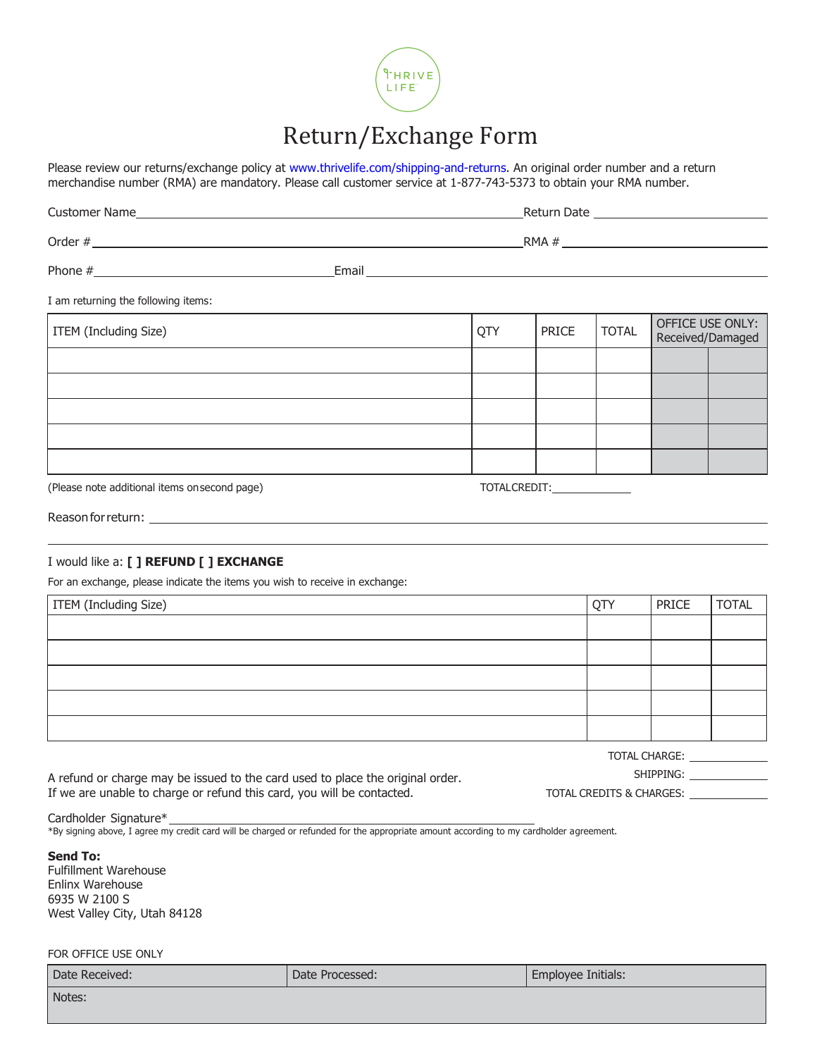

## Return/Exchange Form

Please review our returns/exchange policy at [www.thrivelife.com/shipping-and-returns.](http://www.thrivelife.com/shipping-and-returns) An original order number and a return merchandise number (RMA) are mandatory. Please call customer service at 1-877-743-5373 to obtain your RMA number.

| <b>Customer Name Customer Name</b>            |                                     | Return Date <u>______________________________</u> |                             |                                      |  |  |  |
|-----------------------------------------------|-------------------------------------|---------------------------------------------------|-----------------------------|--------------------------------------|--|--|--|
|                                               |                                     |                                                   |                             |                                      |  |  |  |
|                                               |                                     |                                                   |                             |                                      |  |  |  |
| I am returning the following items:           |                                     |                                                   |                             |                                      |  |  |  |
| ITEM (Including Size)                         | QTY<br><b>TOTAL</b><br><b>PRICE</b> |                                                   |                             | OFFICE USE ONLY:<br>Received/Damaged |  |  |  |
|                                               |                                     |                                                   |                             |                                      |  |  |  |
|                                               |                                     |                                                   |                             |                                      |  |  |  |
|                                               |                                     |                                                   |                             |                                      |  |  |  |
|                                               |                                     |                                                   |                             |                                      |  |  |  |
|                                               |                                     |                                                   |                             |                                      |  |  |  |
| (Please note additional items on second page) |                                     |                                                   | TOTALCREDIT:_______________ |                                      |  |  |  |

Reason for return:

## I would like a: **[ ] REFUND [ ] EXCHANGE**

For an exchange, please indicate the items you wish to receive in exchange:

| <b>ITEM</b> (Including Size) | <b>OTY</b> | PRICE | <b>TOTAL</b> |
|------------------------------|------------|-------|--------------|
|                              |            |       |              |
|                              |            |       |              |
|                              |            |       |              |
|                              |            |       |              |
|                              |            |       |              |

A refund or charge may be issued to the card used to place the original order. If we are unable to charge or refund this card, you will be contacted.

SHIPPING: University of the SHIPPING:

TOTAL CHARGE:

TOTAL CREDITS & CHARGES:

Cardholder Signature\*

\*By signing above, I agree my credit card will be charged or refunded for the appropriate amount according to my cardholder agreement.

**Send To:** 

Fulfillment Warehouse Enlinx Warehouse 6935 W 2100 S West Valley City, Utah 84128

FOR OFFICE USE ONLY

| Date Received: | Date Processed: | Employee Initials: |
|----------------|-----------------|--------------------|
| Notes:         |                 |                    |